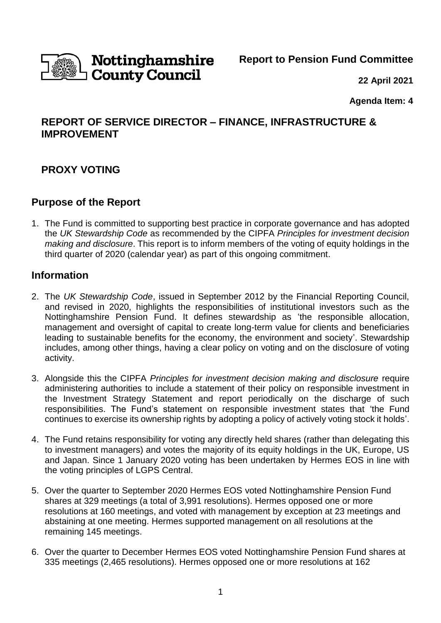

# **Nottinghamshire**<br>D**County Council**

**Report to Pension Fund Committee**

**22 April 2021**

**Agenda Item: 4**

# **REPORT OF SERVICE DIRECTOR – FINANCE, INFRASTRUCTURE & IMPROVEMENT**

# **PROXY VOTING**

## **Purpose of the Report**

1. The Fund is committed to supporting best practice in corporate governance and has adopted the *UK Stewardship Code* as recommended by the CIPFA *Principles for investment decision making and disclosure*. This report is to inform members of the voting of equity holdings in the third quarter of 2020 (calendar year) as part of this ongoing commitment.

## **Information**

- 2. The *UK Stewardship Code*, issued in September 2012 by the Financial Reporting Council, and revised in 2020, highlights the responsibilities of institutional investors such as the Nottinghamshire Pension Fund. It defines stewardship as 'the responsible allocation, management and oversight of capital to create long-term value for clients and beneficiaries leading to sustainable benefits for the economy, the environment and society'. Stewardship includes, among other things, having a clear policy on voting and on the disclosure of voting activity.
- 3. Alongside this the CIPFA *Principles for investment decision making and disclosure* require administering authorities to include a statement of their policy on responsible investment in the Investment Strategy Statement and report periodically on the discharge of such responsibilities. The Fund's statement on responsible investment states that 'the Fund continues to exercise its ownership rights by adopting a policy of actively voting stock it holds'.
- 4. The Fund retains responsibility for voting any directly held shares (rather than delegating this to investment managers) and votes the majority of its equity holdings in the UK, Europe, US and Japan. Since 1 January 2020 voting has been undertaken by Hermes EOS in line with the voting principles of LGPS Central.
- 5. Over the quarter to September 2020 Hermes EOS voted Nottinghamshire Pension Fund shares at 329 meetings (a total of 3,991 resolutions). Hermes opposed one or more resolutions at 160 meetings, and voted with management by exception at 23 meetings and abstaining at one meeting. Hermes supported management on all resolutions at the remaining 145 meetings.
- 6. Over the quarter to December Hermes EOS voted Nottinghamshire Pension Fund shares at 335 meetings (2,465 resolutions). Hermes opposed one or more resolutions at 162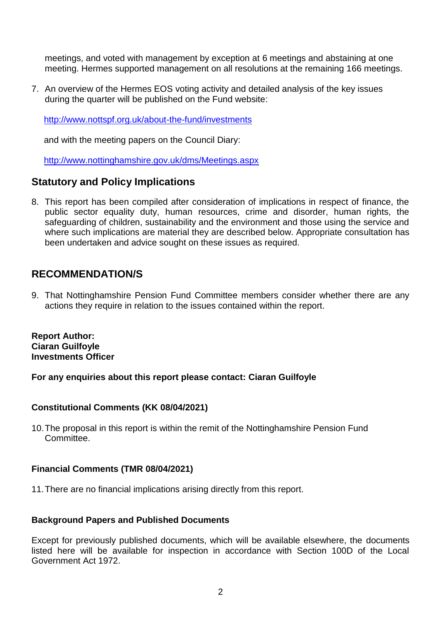meetings, and voted with management by exception at 6 meetings and abstaining at one meeting. Hermes supported management on all resolutions at the remaining 166 meetings.

7. An overview of the Hermes EOS voting activity and detailed analysis of the key issues during the quarter will be published on the Fund website:

<http://www.nottspf.org.uk/about-the-fund/investments>

and with the meeting papers on the Council Diary:

<http://www.nottinghamshire.gov.uk/dms/Meetings.aspx>

## **Statutory and Policy Implications**

8. This report has been compiled after consideration of implications in respect of finance, the public sector equality duty, human resources, crime and disorder, human rights, the safeguarding of children, sustainability and the environment and those using the service and where such implications are material they are described below. Appropriate consultation has been undertaken and advice sought on these issues as required.

## **RECOMMENDATION/S**

9. That Nottinghamshire Pension Fund Committee members consider whether there are any actions they require in relation to the issues contained within the report.

**Report Author: Ciaran Guilfoyle Investments Officer**

**For any enquiries about this report please contact: Ciaran Guilfoyle**

## **Constitutional Comments (KK 08/04/2021)**

10.The proposal in this report is within the remit of the Nottinghamshire Pension Fund Committee.

## **Financial Comments (TMR 08/04/2021)**

11.There are no financial implications arising directly from this report.

#### **Background Papers and Published Documents**

Except for previously published documents, which will be available elsewhere, the documents listed here will be available for inspection in accordance with Section 100D of the Local Government Act 1972.